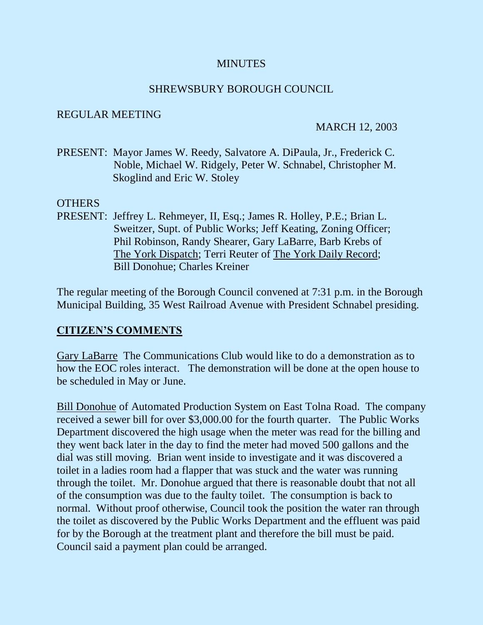### **MINUTES**

### SHREWSBURY BOROUGH COUNCIL

### REGULAR MEETING

### MARCH 12, 2003

PRESENT: Mayor James W. Reedy, Salvatore A. DiPaula, Jr., Frederick C. Noble, Michael W. Ridgely, Peter W. Schnabel, Christopher M. Skoglind and Eric W. Stoley

### **OTHERS**

PRESENT: Jeffrey L. Rehmeyer, II, Esq.; James R. Holley, P.E.; Brian L. Sweitzer, Supt. of Public Works; Jeff Keating, Zoning Officer; Phil Robinson, Randy Shearer, Gary LaBarre, Barb Krebs of The York Dispatch; Terri Reuter of The York Daily Record; Bill Donohue; Charles Kreiner

The regular meeting of the Borough Council convened at 7:31 p.m. in the Borough Municipal Building, 35 West Railroad Avenue with President Schnabel presiding.

## **CITIZEN'S COMMENTS**

Gary LaBarre The Communications Club would like to do a demonstration as to how the EOC roles interact. The demonstration will be done at the open house to be scheduled in May or June.

Bill Donohue of Automated Production System on East Tolna Road. The company received a sewer bill for over \$3,000.00 for the fourth quarter. The Public Works Department discovered the high usage when the meter was read for the billing and they went back later in the day to find the meter had moved 500 gallons and the dial was still moving. Brian went inside to investigate and it was discovered a toilet in a ladies room had a flapper that was stuck and the water was running through the toilet. Mr. Donohue argued that there is reasonable doubt that not all of the consumption was due to the faulty toilet. The consumption is back to normal. Without proof otherwise, Council took the position the water ran through the toilet as discovered by the Public Works Department and the effluent was paid for by the Borough at the treatment plant and therefore the bill must be paid. Council said a payment plan could be arranged.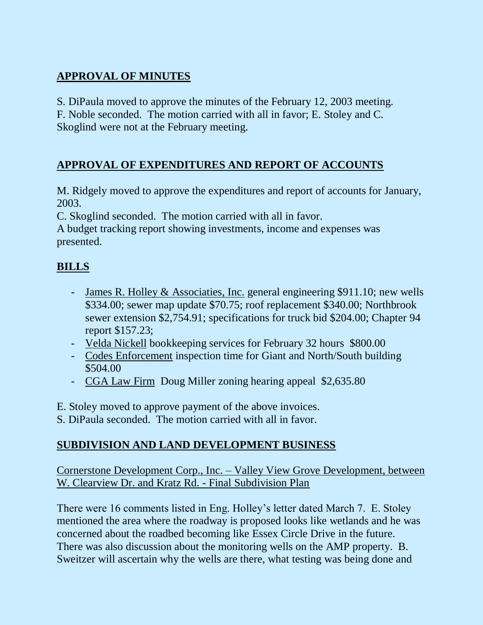# **APPROVAL OF MINUTES**

S. DiPaula moved to approve the minutes of the February 12, 2003 meeting. F. Noble seconded. The motion carried with all in favor; E. Stoley and C. Skoglind were not at the February meeting.

# **APPROVAL OF EXPENDITURES AND REPORT OF ACCOUNTS**

M. Ridgely moved to approve the expenditures and report of accounts for January, 2003.

C. Skoglind seconded. The motion carried with all in favor.

A budget tracking report showing investments, income and expenses was presented.

# **BILLS**

- James R. Holley & Associaties, Inc. general engineering \$911.10; new wells \$334.00; sewer map update \$70.75; roof replacement \$340.00; Northbrook sewer extension \$2,754.91; specifications for truck bid \$204.00; Chapter 94 report \$157.23;
- Velda Nickell bookkeeping services for February 32 hours \$800.00
- Codes Enforcement inspection time for Giant and North/South building \$504.00
- CGA Law Firm Doug Miller zoning hearing appeal \$2,635.80

E. Stoley moved to approve payment of the above invoices.

S. DiPaula seconded. The motion carried with all in favor.

# **SUBDIVISION AND LAND DEVELOPMENT BUSINESS**

Cornerstone Development Corp., Inc. – Valley View Grove Development, between W. Clearview Dr. and Kratz Rd. - Final Subdivision Plan

There were 16 comments listed in Eng. Holley's letter dated March 7. E. Stoley mentioned the area where the roadway is proposed looks like wetlands and he was concerned about the roadbed becoming like Essex Circle Drive in the future. There was also discussion about the monitoring wells on the AMP property. B. Sweitzer will ascertain why the wells are there, what testing was being done and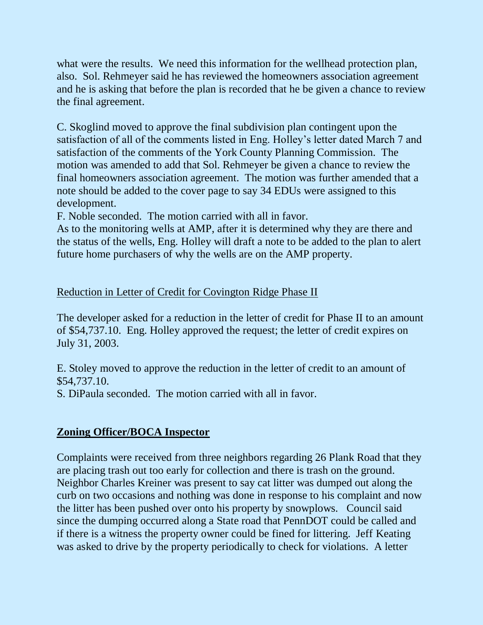what were the results. We need this information for the wellhead protection plan, also. Sol. Rehmeyer said he has reviewed the homeowners association agreement and he is asking that before the plan is recorded that he be given a chance to review the final agreement.

C. Skoglind moved to approve the final subdivision plan contingent upon the satisfaction of all of the comments listed in Eng. Holley's letter dated March 7 and satisfaction of the comments of the York County Planning Commission. The motion was amended to add that Sol. Rehmeyer be given a chance to review the final homeowners association agreement. The motion was further amended that a note should be added to the cover page to say 34 EDUs were assigned to this development.

F. Noble seconded. The motion carried with all in favor.

As to the monitoring wells at AMP, after it is determined why they are there and the status of the wells, Eng. Holley will draft a note to be added to the plan to alert future home purchasers of why the wells are on the AMP property.

## Reduction in Letter of Credit for Covington Ridge Phase II

The developer asked for a reduction in the letter of credit for Phase II to an amount of \$54,737.10. Eng. Holley approved the request; the letter of credit expires on July 31, 2003.

E. Stoley moved to approve the reduction in the letter of credit to an amount of \$54,737.10.

S. DiPaula seconded. The motion carried with all in favor.

## **Zoning Officer/BOCA Inspector**

Complaints were received from three neighbors regarding 26 Plank Road that they are placing trash out too early for collection and there is trash on the ground. Neighbor Charles Kreiner was present to say cat litter was dumped out along the curb on two occasions and nothing was done in response to his complaint and now the litter has been pushed over onto his property by snowplows. Council said since the dumping occurred along a State road that PennDOT could be called and if there is a witness the property owner could be fined for littering. Jeff Keating was asked to drive by the property periodically to check for violations. A letter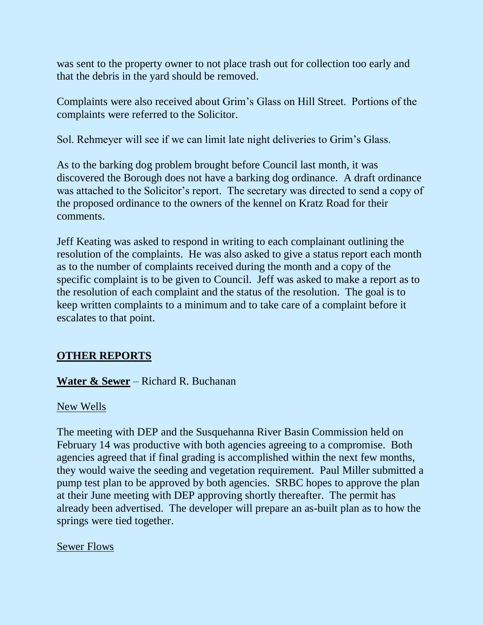was sent to the property owner to not place trash out for collection too early and that the debris in the yard should be removed.

Complaints were also received about Grim's Glass on Hill Street. Portions of the complaints were referred to the Solicitor.

Sol. Rehmeyer will see if we can limit late night deliveries to Grim's Glass.

As to the barking dog problem brought before Council last month, it was discovered the Borough does not have a barking dog ordinance. A draft ordinance was attached to the Solicitor's report. The secretary was directed to send a copy of the proposed ordinance to the owners of the kennel on Kratz Road for their comments.

Jeff Keating was asked to respond in writing to each complainant outlining the resolution of the complaints. He was also asked to give a status report each month as to the number of complaints received during the month and a copy of the specific complaint is to be given to Council. Jeff was asked to make a report as to the resolution of each complaint and the status of the resolution. The goal is to keep written complaints to a minimum and to take care of a complaint before it escalates to that point.

## **OTHER REPORTS**

## **Water & Sewer** – Richard R. Buchanan

## New Wells

The meeting with DEP and the Susquehanna River Basin Commission held on February 14 was productive with both agencies agreeing to a compromise. Both agencies agreed that if final grading is accomplished within the next few months, they would waive the seeding and vegetation requirement. Paul Miller submitted a pump test plan to be approved by both agencies. SRBC hopes to approve the plan at their June meeting with DEP approving shortly thereafter. The permit has already been advertised. The developer will prepare an as-built plan as to how the springs were tied together.

## Sewer Flows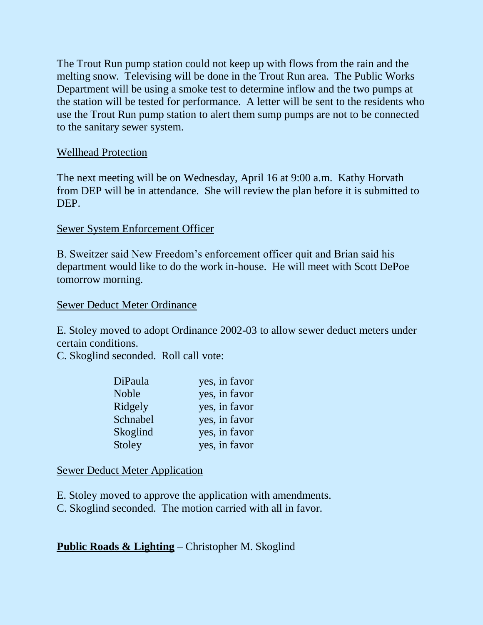The Trout Run pump station could not keep up with flows from the rain and the melting snow. Televising will be done in the Trout Run area. The Public Works Department will be using a smoke test to determine inflow and the two pumps at the station will be tested for performance. A letter will be sent to the residents who use the Trout Run pump station to alert them sump pumps are not to be connected to the sanitary sewer system.

## Wellhead Protection

The next meeting will be on Wednesday, April 16 at 9:00 a.m. Kathy Horvath from DEP will be in attendance. She will review the plan before it is submitted to DEP.

## Sewer System Enforcement Officer

B. Sweitzer said New Freedom's enforcement officer quit and Brian said his department would like to do the work in-house. He will meet with Scott DePoe tomorrow morning.

## Sewer Deduct Meter Ordinance

E. Stoley moved to adopt Ordinance 2002-03 to allow sewer deduct meters under certain conditions.

C. Skoglind seconded. Roll call vote:

| DiPaula  | yes, in favor |
|----------|---------------|
| Noble    | yes, in favor |
| Ridgely  | yes, in favor |
| Schnabel | yes, in favor |
| Skoglind | yes, in favor |
| Stoley   | yes, in favor |

## Sewer Deduct Meter Application

E. Stoley moved to approve the application with amendments.

C. Skoglind seconded. The motion carried with all in favor.

# **Public Roads & Lighting** – Christopher M. Skoglind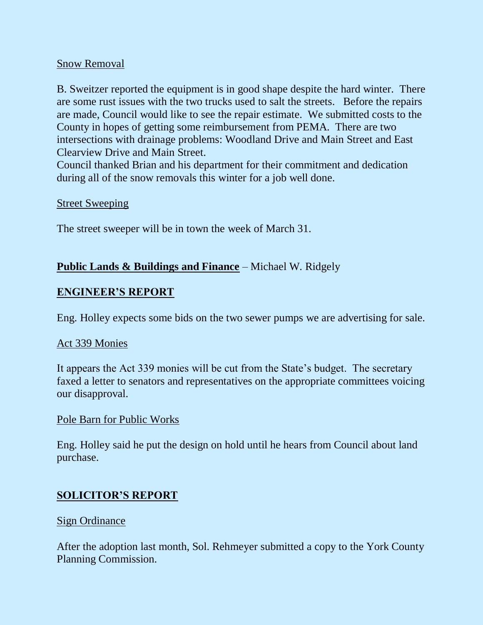## Snow Removal

B. Sweitzer reported the equipment is in good shape despite the hard winter. There are some rust issues with the two trucks used to salt the streets. Before the repairs are made, Council would like to see the repair estimate. We submitted costs to the County in hopes of getting some reimbursement from PEMA. There are two intersections with drainage problems: Woodland Drive and Main Street and East Clearview Drive and Main Street.

Council thanked Brian and his department for their commitment and dedication during all of the snow removals this winter for a job well done.

### Street Sweeping

The street sweeper will be in town the week of March 31.

### **Public Lands & Buildings and Finance** – Michael W. Ridgely

### **ENGINEER'S REPORT**

Eng. Holley expects some bids on the two sewer pumps we are advertising for sale.

### Act 339 Monies

It appears the Act 339 monies will be cut from the State's budget. The secretary faxed a letter to senators and representatives on the appropriate committees voicing our disapproval.

#### Pole Barn for Public Works

Eng. Holley said he put the design on hold until he hears from Council about land purchase.

## **SOLICITOR'S REPORT**

#### Sign Ordinance

After the adoption last month, Sol. Rehmeyer submitted a copy to the York County Planning Commission.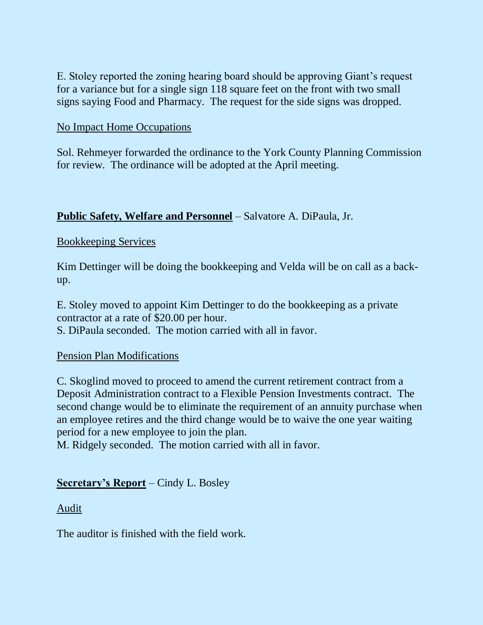E. Stoley reported the zoning hearing board should be approving Giant's request for a variance but for a single sign 118 square feet on the front with two small signs saying Food and Pharmacy. The request for the side signs was dropped.

## No Impact Home Occupations

Sol. Rehmeyer forwarded the ordinance to the York County Planning Commission for review. The ordinance will be adopted at the April meeting.

## **Public Safety, Welfare and Personnel** – Salvatore A. DiPaula, Jr.

## Bookkeeping Services

Kim Dettinger will be doing the bookkeeping and Velda will be on call as a backup.

E. Stoley moved to appoint Kim Dettinger to do the bookkeeping as a private contractor at a rate of \$20.00 per hour.

S. DiPaula seconded. The motion carried with all in favor.

## Pension Plan Modifications

C. Skoglind moved to proceed to amend the current retirement contract from a Deposit Administration contract to a Flexible Pension Investments contract. The second change would be to eliminate the requirement of an annuity purchase when an employee retires and the third change would be to waive the one year waiting period for a new employee to join the plan.

M. Ridgely seconded. The motion carried with all in favor.

## **Secretary's Report** – Cindy L. Bosley

## Audit

The auditor is finished with the field work.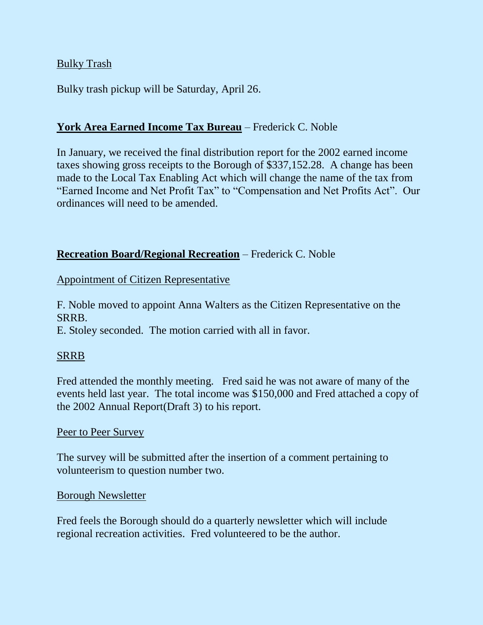## Bulky Trash

Bulky trash pickup will be Saturday, April 26.

## **York Area Earned Income Tax Bureau** – Frederick C. Noble

In January, we received the final distribution report for the 2002 earned income taxes showing gross receipts to the Borough of \$337,152.28. A change has been made to the Local Tax Enabling Act which will change the name of the tax from "Earned Income and Net Profit Tax" to "Compensation and Net Profits Act". Our ordinances will need to be amended.

### **Recreation Board/Regional Recreation** – Frederick C. Noble

Appointment of Citizen Representative

F. Noble moved to appoint Anna Walters as the Citizen Representative on the SRRB.

E. Stoley seconded. The motion carried with all in favor.

## SRRB

Fred attended the monthly meeting. Fred said he was not aware of many of the events held last year. The total income was \$150,000 and Fred attached a copy of the 2002 Annual Report(Draft 3) to his report.

## Peer to Peer Survey

The survey will be submitted after the insertion of a comment pertaining to volunteerism to question number two.

### Borough Newsletter

Fred feels the Borough should do a quarterly newsletter which will include regional recreation activities. Fred volunteered to be the author.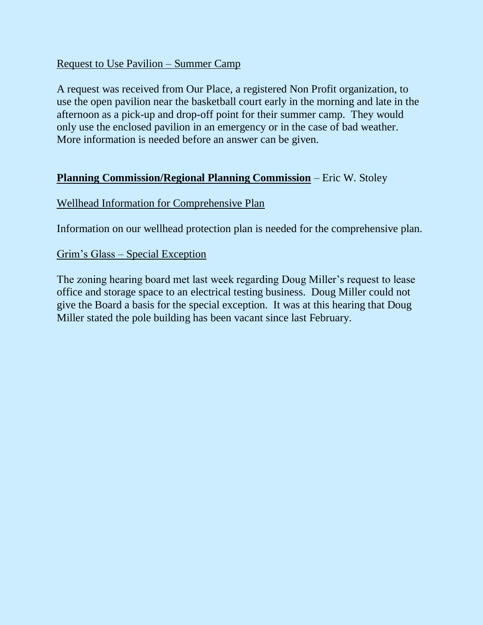## Request to Use Pavilion – Summer Camp

A request was received from Our Place, a registered Non Profit organization, to use the open pavilion near the basketball court early in the morning and late in the afternoon as a pick-up and drop-off point for their summer camp. They would only use the enclosed pavilion in an emergency or in the case of bad weather. More information is needed before an answer can be given.

## **Planning Commission/Regional Planning Commission** – Eric W. Stoley

## Wellhead Information for Comprehensive Plan

Information on our wellhead protection plan is needed for the comprehensive plan.

## Grim's Glass – Special Exception

The zoning hearing board met last week regarding Doug Miller's request to lease office and storage space to an electrical testing business. Doug Miller could not give the Board a basis for the special exception. It was at this hearing that Doug Miller stated the pole building has been vacant since last February.